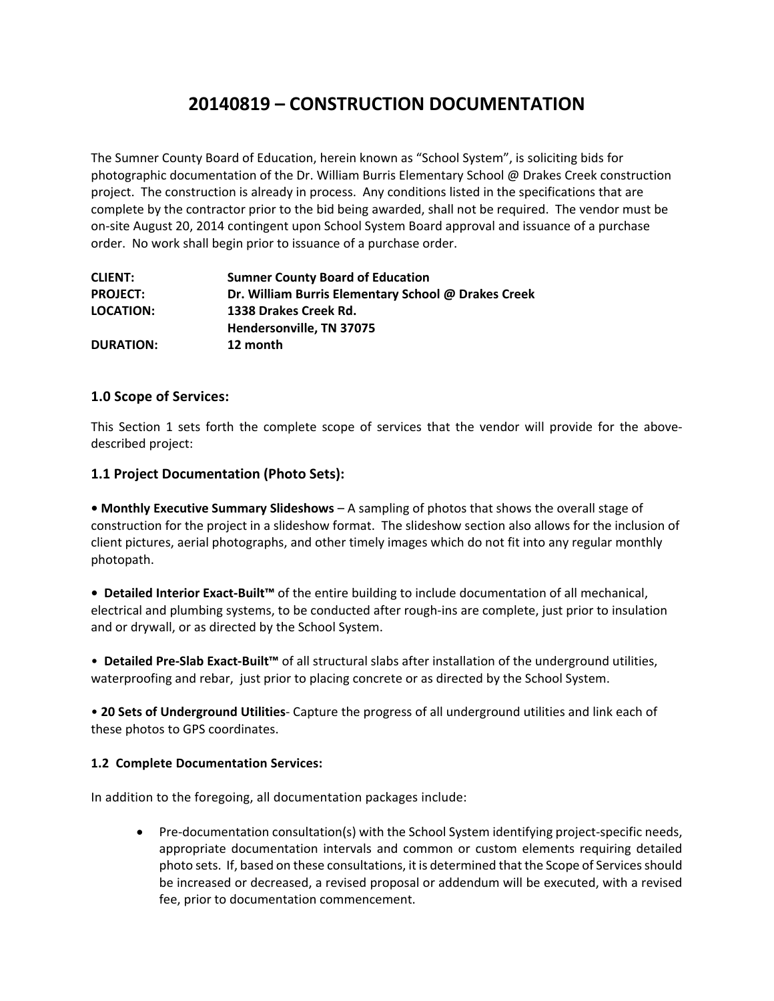# **20140819 – CONSTRUCTION DOCUMENTATION**

The Sumner County Board of Education, herein known as "School System", is soliciting bids for photographic documentation of the Dr. William Burris Elementary School @ Drakes Creek construction project. The construction is already in process. Any conditions listed in the specifications that are complete by the contractor prior to the bid being awarded, shall not be required. The vendor must be on‐site August 20, 2014 contingent upon School System Board approval and issuance of a purchase order. No work shall begin prior to issuance of a purchase order.

| <b>CLIENT:</b>   | <b>Sumner County Board of Education</b>             |
|------------------|-----------------------------------------------------|
| <b>PROJECT:</b>  | Dr. William Burris Elementary School @ Drakes Creek |
| <b>LOCATION:</b> | 1338 Drakes Creek Rd.                               |
|                  | Hendersonville, TN 37075                            |
| <b>DURATION:</b> | 12 month                                            |

# **1.0 Scope of Services:**

This Section 1 sets forth the complete scope of services that the vendor will provide for the above‐ described project:

# **1.1 Project Documentation (Photo Sets):**

**• Monthly Executive Summary Slideshows** – A sampling of photos that shows the overall stage of construction for the project in a slideshow format. The slideshow section also allows for the inclusion of client pictures, aerial photographs, and other timely images which do not fit into any regular monthly photopath.

**• Detailed Interior Exact‐Built™** of the entire building to include documentation of all mechanical, electrical and plumbing systems, to be conducted after rough‐ins are complete, just prior to insulation and or drywall, or as directed by the School System.

• **Detailed Pre‐Slab Exact‐Built™** of all structural slabs after installation of the underground utilities, waterproofing and rebar, just prior to placing concrete or as directed by the School System.

• **20 Sets of Underground Utilities**‐ Capture the progress of all underground utilities and link each of these photos to GPS coordinates.

# **1.2 Complete Documentation Services:**

In addition to the foregoing, all documentation packages include:

● Pre-documentation consultation(s) with the School System identifying project-specific needs, appropriate documentation intervals and common or custom elements requiring detailed photo sets. If, based on these consultations, it is determined that the Scope of Services should be increased or decreased, a revised proposal or addendum will be executed, with a revised fee, prior to documentation commencement.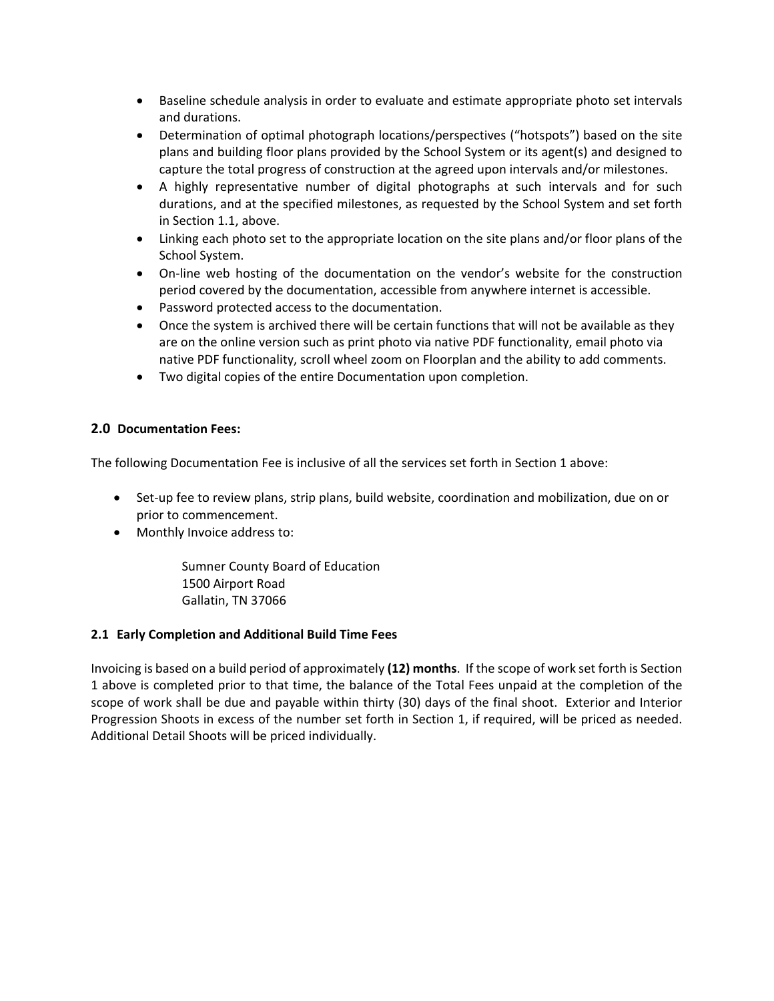- Baseline schedule analysis in order to evaluate and estimate appropriate photo set intervals and durations.
- Determination of optimal photograph locations/perspectives ("hotspots") based on the site plans and building floor plans provided by the School System or its agent(s) and designed to capture the total progress of construction at the agreed upon intervals and/or milestones.
- A highly representative number of digital photographs at such intervals and for such durations, and at the specified milestones, as requested by the School System and set forth in Section 1.1, above.
- Linking each photo set to the appropriate location on the site plans and/or floor plans of the School System.
- On-line web hosting of the documentation on the vendor's website for the construction period covered by the documentation, accessible from anywhere internet is accessible.
- Password protected access to the documentation.
- Once the system is archived there will be certain functions that will not be available as they are on the online version such as print photo via native PDF functionality, email photo via native PDF functionality, scroll wheel zoom on Floorplan and the ability to add comments.
- Two digital copies of the entire Documentation upon completion.

# **2.0 Documentation Fees:**

The following Documentation Fee is inclusive of all the services set forth in Section 1 above:

- Set-up fee to review plans, strip plans, build website, coordination and mobilization, due on or prior to commencement.
- Monthly Invoice address to:

Sumner County Board of Education 1500 Airport Road Gallatin, TN 37066

### **2.1 Early Completion and Additional Build Time Fees**

Invoicing is based on a build period of approximately **(12) months**. If the scope of work set forth is Section 1 above is completed prior to that time, the balance of the Total Fees unpaid at the completion of the scope of work shall be due and payable within thirty (30) days of the final shoot. Exterior and Interior Progression Shoots in excess of the number set forth in Section 1, if required, will be priced as needed. Additional Detail Shoots will be priced individually.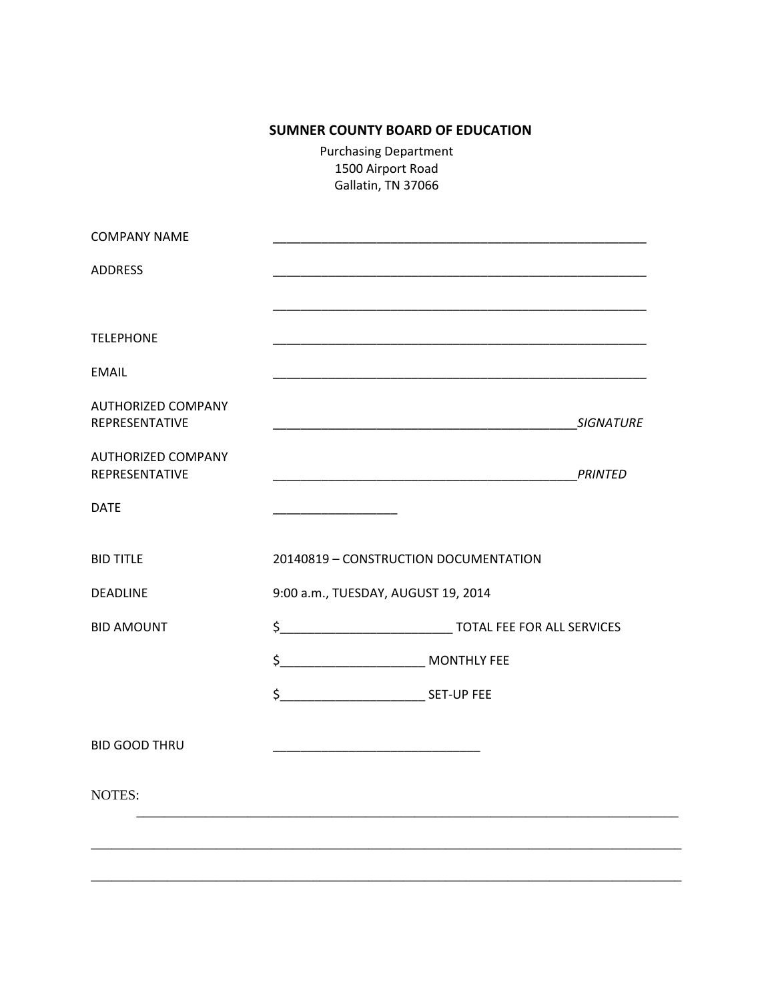# **SUMNER COUNTY BOARD OF EDUCATION**

Purchasing Department 1500 Airport Road Gallatin, TN 37066

|                                                                                                                      | <b>SIGNATURE</b> |
|----------------------------------------------------------------------------------------------------------------------|------------------|
| <u> 1990 - Johann John Stone, mars eta biztanleria (h. 1900).</u>                                                    | <b>PRINTED</b>   |
| <u> 1989 - Johann John Harry Barnett, fransk kongres</u>                                                             |                  |
| 20140819 - CONSTRUCTION DOCUMENTATION                                                                                |                  |
| 9:00 a.m., TUESDAY, AUGUST 19, 2014                                                                                  |                  |
|                                                                                                                      |                  |
| \$<br>MONTHLY FEE                                                                                                    |                  |
|                                                                                                                      |                  |
| <u> 1989 - Johann John Stone, mars eta bat eta bat eta bat eta bat eta bat eta bat eta bat eta bat eta bat eta b</u> |                  |
|                                                                                                                      |                  |
|                                                                                                                      |                  |
|                                                                                                                      |                  |
|                                                                                                                      |                  |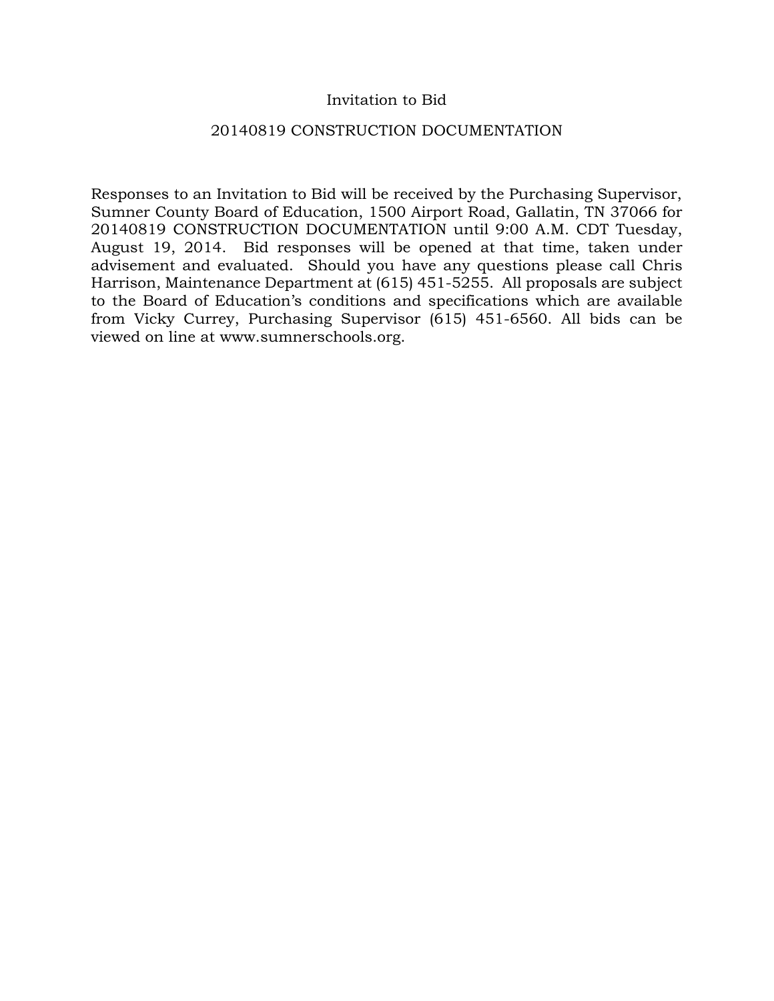# Invitation to Bid

## 20140819 CONSTRUCTION DOCUMENTATION

Responses to an Invitation to Bid will be received by the Purchasing Supervisor, Sumner County Board of Education, 1500 Airport Road, Gallatin, TN 37066 for 20140819 CONSTRUCTION DOCUMENTATION until 9:00 A.M. CDT Tuesday, August 19, 2014. Bid responses will be opened at that time, taken under advisement and evaluated. Should you have any questions please call Chris Harrison, Maintenance Department at (615) 451-5255. All proposals are subject to the Board of Education's conditions and specifications which are available from Vicky Currey, Purchasing Supervisor (615) 451-6560. All bids can be viewed on line at www.sumnerschools.org.